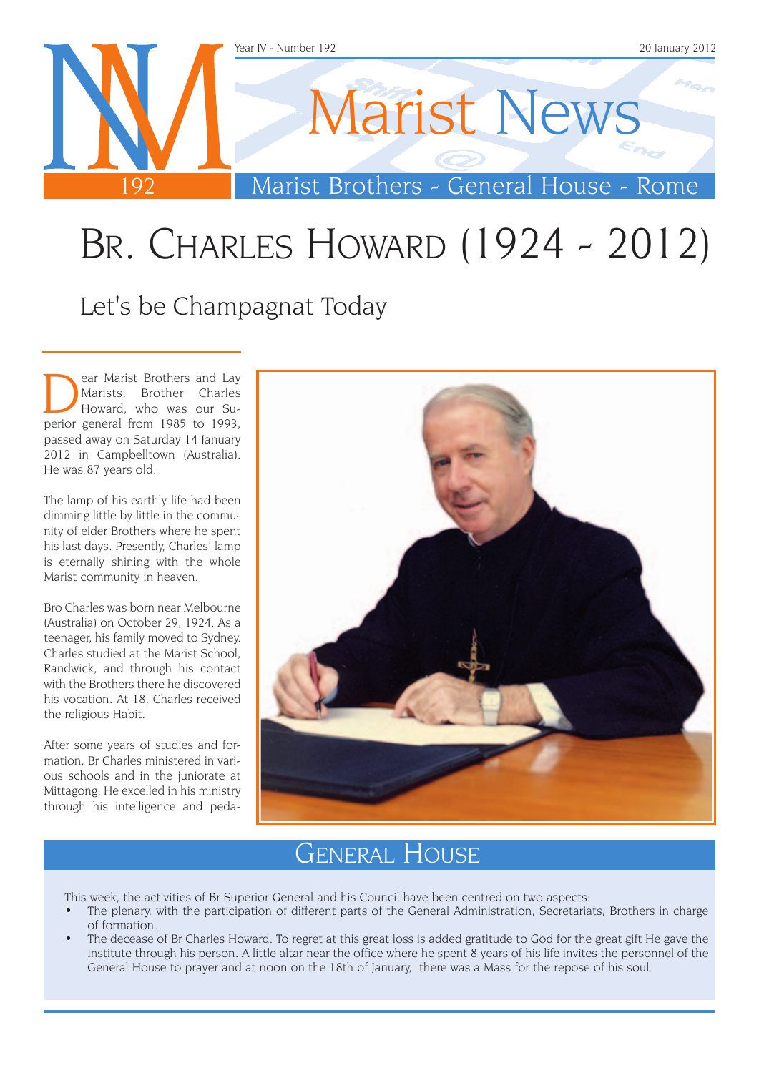

## Br. Charles Howard (1924 - 2012)

Let's be Champagnat Today

ear Marist Brothers and Lay<br>
Marists: Brother Charles<br>
Howard, who was our Su-<br>
perior general from 1985 to 1993 Marists: Brother Charles perior general from 1985 to 1993, passed away on Saturday 14 January 2012 in Campbelltown (Australia). He was 87 years old.

The lamp of his earthly life had been dimming little by little in the community of elder Brothers where he spent his last days. Presently, Charles' lamp is eternally shining with the whole Marist community in heaven.

Bro Charles was born near Melbourne (Australia) on October 29, 1924. As a teenager, his family moved to Sydney. Charles studied at the Marist School, Randwick, and through his contact with the Brothers there he discovered his vocation. At 18, Charles received the religious Habit.

After some years of studies and formation, Br Charles ministered in various schools and in the juniorate at Mittagong. He excelled in his ministry through his intelligence and peda-



### General House

This week, the activities of Br Superior General and his Council have been centred on two aspects:

- The plenary, with the participation of different parts of the General Administration, Secretariats, Brothers in charge of formation…
- The decease of Br Charles Howard. To regret at this great loss is added gratitude to God for the great gift He gave the Institute through his person. A little altar near the office where he spent 8 years of his life invites the personnel of the General House to prayer and at noon on the 18th of January, there was a Mass for the repose of his soul.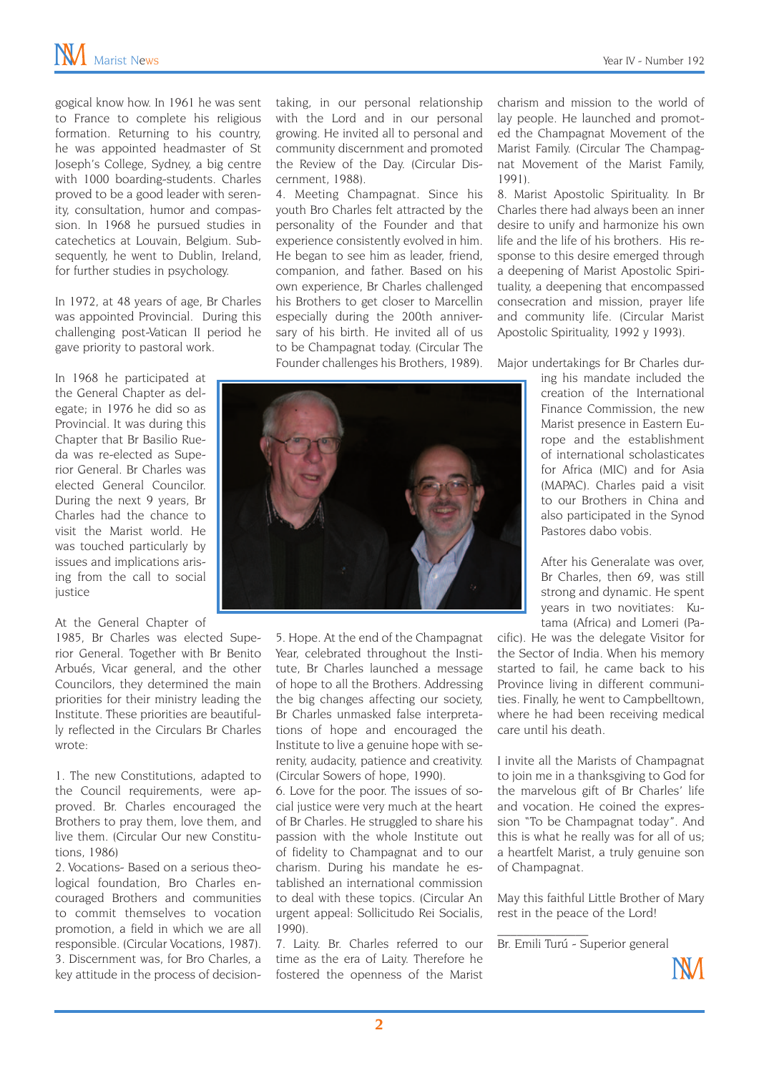gogical know how. In 1961 he was sent to France to complete his religious formation. Returning to his country, he was appointed headmaster of St Joseph's College, Sydney, a big centre with 1000 boarding-students. Charles proved to be a good leader with serenity, consultation, humor and compassion. In 1968 he pursued studies in catechetics at Louvain, Belgium. Subsequently, he went to Dublin, Ireland, for further studies in psychology.

In 1972, at 48 years of age, Br Charles was appointed Provincial. During this challenging post-Vatican II period he gave priority to pastoral work.

In 1968 he participated at the General Chapter as delegate; in 1976 he did so as Provincial. It was during this Chapter that Br Basilio Rueda was re-elected as Superior General. Br Charles was elected General Councilor. During the next 9 years, Br Charles had the chance to visit the Marist world. He was touched particularly by issues and implications arising from the call to social iustice

#### At the General Chapter of

1985, Br Charles was elected Superior General. Together with Br Benito Arbués, Vicar general, and the other Councilors, they determined the main priorities for their ministry leading the Institute. These priorities are beautifully reflected in the Circulars Br Charles wrote:

1. The new Constitutions, adapted to the Council requirements, were approved. Br. Charles encouraged the Brothers to pray them, love them, and live them. (Circular Our new Constitutions, 1986)

2. Vocations- Based on a serious theological foundation, Bro Charles encouraged Brothers and communities to commit themselves to vocation promotion, a field in which we are all responsible. (Circular Vocations, 1987). 3. Discernment was, for Bro Charles, a key attitude in the process of decisiontaking, in our personal relationship with the Lord and in our personal growing. He invited all to personal and community discernment and promoted the Review of the Day. (Circular Discernment, 1988).

4. Meeting Champagnat. Since his youth Bro Charles felt attracted by the personality of the Founder and that experience consistently evolved in him. He began to see him as leader, friend, companion, and father. Based on his own experience, Br Charles challenged his Brothers to get closer to Marcellin especially during the 200th anniversary of his birth. He invited all of us to be Champagnat today. (Circular The Founder challenges his Brothers, 1989).

charism and mission to the world of lay people. He launched and promoted the Champagnat Movement of the Marist Family. (Circular The Champagnat Movement of the Marist Family, 1991).

8. Marist Apostolic Spirituality. In Br Charles there had always been an inner desire to unify and harmonize his own life and the life of his brothers. His response to this desire emerged through a deepening of Marist Apostolic Spirituality, a deepening that encompassed consecration and mission, prayer life and community life. (Circular Marist Apostolic Spirituality, 1992 y 1993).

Major undertakings for Br Charles dur-

ing his mandate included the creation of the International Finance Commission, the new Marist presence in Eastern Europe and the establishment of international scholasticates for Africa (MIC) and for Asia (MAPAC). Charles paid a visit to our Brothers in China and also participated in the Synod Pastores dabo vobis.

After his Generalate was over, Br Charles, then 69, was still strong and dynamic. He spent years in two novitiates: Kutama (Africa) and Lomeri (Pa-

cific). He was the delegate Visitor for the Sector of India. When his memory started to fail, he came back to his Province living in different communities. Finally, he went to Campbelltown, where he had been receiving medical care until his death.

I invite all the Marists of Champagnat to join me in a thanksgiving to God for the marvelous gift of Br Charles' life and vocation. He coined the expression "To be Champagnat today". And this is what he really was for all of us; a heartfelt Marist, a truly genuine son of Champagnat.

May this faithful Little Brother of Mary rest in the peace of the Lord!

Br. Emili Turú - Superior general

 $\mathcal{L}_\text{max}$ 





5. Hope. At the end of the Champagnat Year, celebrated throughout the Institute, Br Charles launched a message of hope to all the Brothers. Addressing the big changes affecting our society, Br Charles unmasked false interpretations of hope and encouraged the Institute to live a genuine hope with serenity, audacity, patience and creativity. (Circular Sowers of hope, 1990).

6. Love for the poor. The issues of social justice were very much at the heart of Br Charles. He struggled to share his passion with the whole Institute out of fidelity to Champagnat and to our charism. During his mandate he established an international commission to deal with these topics. (Circular An urgent appeal: Sollicitudo Rei Socialis, 1990).

7. Laity. Br. Charles referred to our time as the era of Laity. Therefore he fostered the openness of the Marist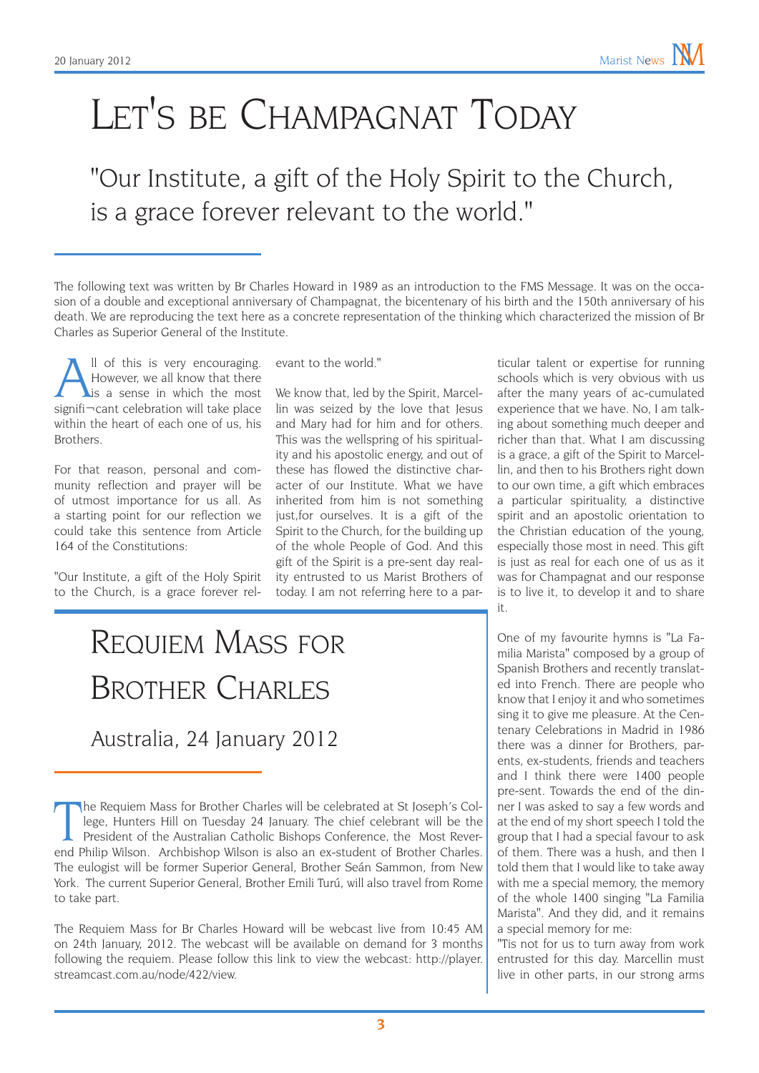## LET'S BE CHAMPAGNAT TODAY

"Our Institute, a gift of the Holy Spirit to the Church, is a grace forever relevant to the world."

The following text was written by Br Charles Howard in 1989 as an introduction to the FMS Message. It was on the occasion of a double and exceptional anniversary of Champagnat, the bicentenary of his birth and the 150th anniversary of his death. We are reproducing the text here as a concrete representation of the thinking which characterized the mission of Br Charles as Superior General of the Institute.

All of this is very encouraging.<br>However, we all know that there<br>is a sense in which the most<br>signifi-cant celebration will take place However, we all know that there is a sense in which the most signifi¬cant celebration will take place within the heart of each one of us, his Brothers.

For that reason, personal and community reflection and prayer will be of utmost importance for us all. As a starting point for our reflection we could take this sentence from Article 164 of the Constitutions:

"Our Institute, a gift of the Holy Spirit to the Church, is a grace forever relevant to the world."

We know that, led by the Spirit, Marcellin was seized by the love that Jesus and Mary had for him and for others. This was the wellspring of his spirituality and his apostolic energy, and out of these has flowed the distinctive character of our Institute. What we have inherited from him is not something just,for ourselves. It is a gift of the Spirit to the Church, for the building up of the whole People of God. And this gift of the Spirit is a pre-sent day reality entrusted to us Marist Brothers of today. I am not referring here to a par-

Requiem Mass for Brother Charles

Australia, 24 January 2012

The Requiem Mass for Br Charles Howard will be webcast live from 10:45 AM on 24th January, 2012. The webcast will be available on demand for 3 months following the requiem. Please follow this link to view the webcast: http://player. streamcast.com.au/node/422/view.

ticular talent or expertise for running schools which is very obvious with us after the many years of ac-cumulated experience that we have. No, I am talking about something much deeper and richer than that. What I am discussing is a grace, a gift of the Spirit to Marcellin, and then to his Brothers right down to our own time, a gift which embraces a particular spirituality, a distinctive spirit and an apostolic orientation to the Christian education of the young, especially those most in need. This gift is just as real for each one of us as it was for Champagnat and our response is to live it, to develop it and to share it.

One of my favourite hymns is "La Familia Marista" composed by a group of Spanish Brothers and recently translated into French. There are people who know that I enjoy it and who sometimes sing it to give me pleasure. At the Centenary Celebrations in Madrid in 1986 there was a dinner for Brothers, parents, ex-students, friends and teachers and I think there were 1400 people pre-sent. Towards the end of the dinner I was asked to say a few words and at the end of my short speech I told the group that I had a special favour to ask of them. There was a hush, and then I told them that I would like to take away with me a special memory, the memory of the whole 1400 singing "La Familia Marista". And they did, and it remains a special memory for me:

"Tis not for us to turn away from work entrusted for this day. Marcellin must live in other parts, in our strong arms

The Requiem Mass for Brother Charles will be celebrated at St Joseph's College, Hunters Hill on Tuesday 24 January. The chief celebrant will be the President of the Australian Catholic Bishops Conference, the Most Reverend he Requiem Mass for Brother Charles will be celebrated at St Joseph's College, Hunters Hill on Tuesday 24 January. The chief celebrant will be the President of the Australian Catholic Bishops Conference, the Most Rever-The eulogist will be former Superior General, Brother Seán Sammon, from New York. The current Superior General, Brother Emili Turú, will also travel from Rome to take part.